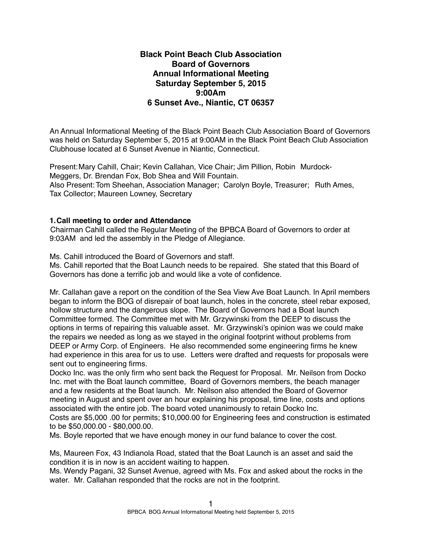# **Black Point Beach Club Association Board of Governors Annual Informational Meeting Saturday September 5, 2015 9:00Am 6 Sunset Ave., Niantic, CT 06357**

An Annual Informational Meeting of the Black Point Beach Club Association Board of Governors was held on Saturday September 5, 2015 at 9:00AM in the Black Point Beach Club Association Clubhouse located at 6 Sunset Avenue in Niantic, Connecticut.

Present:Mary Cahill, Chair; Kevin Callahan, Vice Chair; Jim Pillion, Robin Murdock-Meggers, Dr. Brendan Fox, Bob Shea and Will Fountain. Also Present: Tom Sheehan, Association Manager; Carolyn Boyle, Treasurer; Ruth Ames, Tax Collector; Maureen Lowney, Secretary

### **1.Call meeting to order and Attendance**

Chairman Cahill called the Regular Meeting of the BPBCA Board of Governors to order at 9:03AM and led the assembly in the Pledge of Allegiance.

Ms. Cahill introduced the Board of Governors and staff.

Ms. Cahill reported that the Boat Launch needs to be repaired. She stated that this Board of Governors has done a terrific job and would like a vote of confidence.

Mr. Callahan gave a report on the condition of the Sea View Ave Boat Launch. In April members began to inform the BOG of disrepair of boat launch, holes in the concrete, steel rebar exposed, hollow structure and the dangerous slope. The Board of Governors had a Boat launch Committee formed. The Committee met with Mr. Grzywinski from the DEEP to discuss the options in terms of repairing this valuable asset. Mr. Grzywinski's opinion was we could make the repairs we needed as long as we stayed in the original footprint without problems from DEEP or Army Corp. of Engineers. He also recommended some engineering firms he knew had experience in this area for us to use. Letters were drafted and requests for proposals were sent out to engineering firms.

Docko Inc. was the only firm who sent back the Request for Proposal. Mr. Neilson from Docko Inc. met with the Boat launch committee, Board of Governors members, the beach manager and a few residents at the Boat launch. Mr. Neilson also attended the Board of Governor meeting in August and spent over an hour explaining his proposal, time line, costs and options associated with the entire job. The board voted unanimously to retain Docko Inc.

Costs are \$5,000 .00 for permits; \$10,000.00 for Engineering fees and construction is estimated to be \$50,000.00 - \$80,000.00.

Ms. Boyle reported that we have enough money in our fund balance to cover the cost.

Ms, Maureen Fox, 43 Indianola Road, stated that the Boat Launch is an asset and said the condition it is in now is an accident waiting to happen.

Ms. Wendy Pagani, 32 Sunset Avenue, agreed with Ms. Fox and asked about the rocks in the water. Mr. Callahan responded that the rocks are not in the footprint.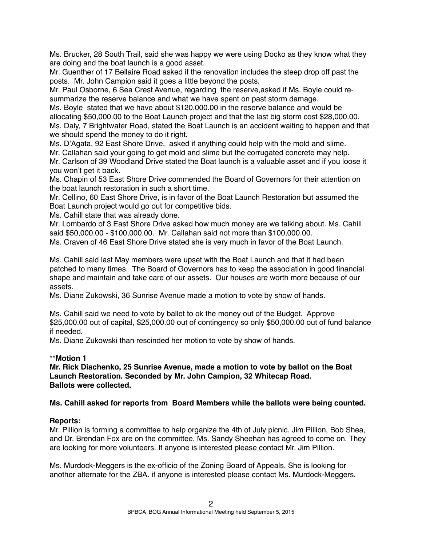Ms. Brucker, 28 South Trail, said she was happy we were using Docko as they know what they are doing and the boat launch is a good asset.

Mr. Guenther of 17 Bellaire Road asked if the renovation includes the steep drop off past the posts. Mr. John Campion said it goes a little beyond the posts.

Mr. Paul Osborne, 6 Sea Crest Avenue, regarding the reserve,asked if Ms. Boyle could resummarize the reserve balance and what we have spent on past storm damage.

Ms. Boyle stated that we have about \$120,000.00 in the reserve balance and would be allocating \$50,000.00 to the Boat Launch project and that the last big storm cost \$28,000.00. Ms. Daly, 7 Brightwater Road, stated the Boat Launch is an accident waiting to happen and that we should spend the money to do it right.

Ms. D'Agata, 92 East Shore Drive, asked if anything could help with the mold and slime.

Mr. Callahan said your going to get mold and slime but the corrugated concrete may help. Mr. Carlson of 39 Woodland Drive stated the Boat launch is a valuable asset and if you loose it you won't get it back.

Ms. Chapin of 53 East Shore Drive commended the Board of Governors for their attention on the boat launch restoration in such a short time.

Mr. Cellino, 60 East Shore Drive, is in favor of the Boat Launch Restoration but assumed the Boat Launch project would go out for competitive bids.

Ms. Cahill state that was already done.

Mr. Lombardo of 3 East Shore Drive asked how much money are we talking about. Ms. Cahill said \$50,000.00 - \$100,000.00. Mr. Callahan said not more than \$100,000.00.

Ms. Craven of 46 East Shore Drive stated she is very much in favor of the Boat Launch.

Ms. Cahill said last May members were upset with the Boat Launch and that it had been patched to many times. The Board of Governors has to keep the association in good financial shape and maintain and take care of our assets. Our houses are worth more because of our assets.

Ms. Diane Zukowski, 36 Sunrise Avenue made a motion to vote by show of hands.

Ms. Cahill said we need to vote by ballet to ok the money out of the Budget. Approve \$25,000.00 out of capital, \$25,000.00 out of contingency so only \$50,000.00 out of fund balance if needed.

Ms. Diane Zukowski than rescinded her motion to vote by show of hands.

### \*\***Motion 1**

**Mr. Rick Diachenko, 25 Sunrise Avenue, made a motion to vote by ballot on the Boat Launch Restoration. Seconded by Mr. John Campion, 32 Whitecap Road. Ballots were collected.**

### **Ms. Cahill asked for reports from Board Members while the ballots were being counted.**

### **Reports:**

Mr. Pillion is forming a committee to help organize the 4th of July picnic. Jim Pillion, Bob Shea, and Dr. Brendan Fox are on the committee. Ms. Sandy Sheehan has agreed to come on. They are looking for more volunteers. If anyone is interested please contact Mr. Jim Pillion.

Ms. Murdock-Meggers is the ex-officio of the Zoning Board of Appeals. She is looking for another alternate for the ZBA. if anyone is interested please contact Ms. Murdock-Meggers.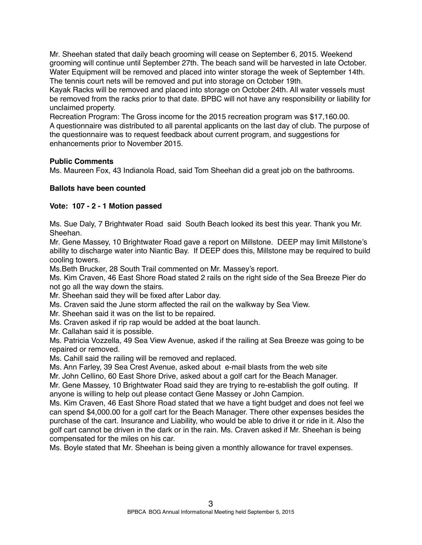Mr. Sheehan stated that daily beach grooming will cease on September 6, 2015. Weekend grooming will continue until September 27th. The beach sand will be harvested in late October. Water Equipment will be removed and placed into winter storage the week of September 14th. The tennis court nets will be removed and put into storage on October 19th.

Kayak Racks will be removed and placed into storage on October 24th. All water vessels must be removed from the racks prior to that date. BPBC will not have any responsibility or liability for unclaimed property.

Recreation Program: The Gross income for the 2015 recreation program was \$17,160.00. A questionnaire was distributed to all parental applicants on the last day of club. The purpose of the questionnaire was to request feedback about current program, and suggestions for enhancements prior to November 2015.

### **Public Comments**

Ms. Maureen Fox, 43 Indianola Road, said Tom Sheehan did a great job on the bathrooms.

## **Ballots have been counted**

## **Vote: 107 - 2 - 1 Motion passed**

Ms. Sue Daly, 7 Brightwater Road said South Beach looked its best this year. Thank you Mr. Sheehan.

Mr. Gene Massey, 10 Brightwater Road gave a report on Millstone. DEEP may limit Millstone's ability to discharge water into Niantic Bay. If DEEP does this, Millstone may be required to build cooling towers.

Ms.Beth Brucker, 28 South Trail commented on Mr. Massey's report.

Ms. Kim Craven, 46 East Shore Road stated 2 rails on the right side of the Sea Breeze Pier do not go all the way down the stairs.

Mr. Sheehan said they will be fixed after Labor day.

Ms. Craven said the June storm affected the rail on the walkway by Sea View.

Mr. Sheehan said it was on the list to be repaired.

Ms. Craven asked if rip rap would be added at the boat launch.

Mr. Callahan said it is possible.

Ms. Patricia Vozzella, 49 Sea View Avenue, asked if the railing at Sea Breeze was going to be repaired or removed.

Ms. Cahill said the railing will be removed and replaced.

Ms. Ann Farley, 39 Sea Crest Avenue, asked about e-mail blasts from the web site

Mr. John Cellino, 60 East Shore Drive, asked about a golf cart for the Beach Manager.

Mr. Gene Massey, 10 Brightwater Road said they are trying to re-establish the golf outing. If anyone is willing to help out please contact Gene Massey or John Campion.

Ms. Kim Craven, 46 East Shore Road stated that we have a tight budget and does not feel we can spend \$4,000.00 for a golf cart for the Beach Manager. There other expenses besides the purchase of the cart. Insurance and Liability, who would be able to drive it or ride in it. Also the golf cart cannot be driven in the dark or in the rain. Ms. Craven asked if Mr. Sheehan is being compensated for the miles on his car.

Ms. Boyle stated that Mr. Sheehan is being given a monthly allowance for travel expenses.